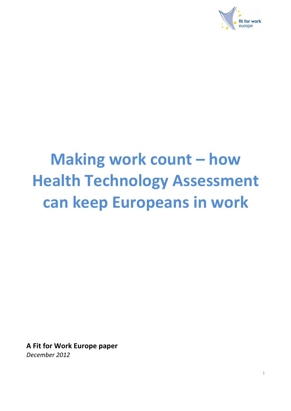

# **Making work count – how Health Technology Assessment can keep Europeans in work**

**A Fit for Work Europe paper**  *December 2012*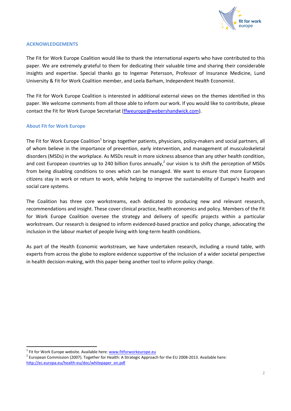

## **ACKNOWLEDGEMENTS**

The Fit for Work Europe Coalition would like to thank the international experts who have contributed to this paper. We are extremely grateful to them for dedicating their valuable time and sharing their considerable insights and expertise. Special thanks go to Ingemar Petersson, Professor of Insurance Medicine, Lund University & Fit for Work Coalition member, and Leela Barham, Independent Health Economist.

The Fit for Work Europe Coalition is interested in additional external views on the themes identified in this paper. We welcome comments from all those able to inform our work. If you would like to contribute, please contact the Fit for Work Europe Secretariat (ffweurope@webershandwick.com).

## **About Fit for Work Europe**

The Fit for Work Europe Coalition<sup>1</sup> brings together patients, physicians, policy-makers and social partners, all of whom believe in the importance of prevention, early intervention, and management of musculoskeletal disorders (MSDs) in the workplace. As MSDs result in more sickness absence than any other health condition, and cost European countries up to 240 billion Euros annually,<sup>2</sup> our vision is to shift the perception of MSDs from being disabling conditions to ones which can be managed. We want to ensure that more European citizens stay in work or return to work, while helping to improve the sustainability of Europe's health and social care systems.

The Coalition has three core workstreams, each dedicated to producing new and relevant research, recommendations and insight. These cover clinical practice, health economics and policy. Members of the Fit for Work Europe Coalition oversee the strategy and delivery of specific projects within a particular workstream. Our research is designed to inform evidenced-based practice and policy change, advocating the inclusion in the labour market of people living with long-term health conditions.

As part of the Health Economic workstream, we have undertaken research, including a round table, with experts from across the globe to explore evidence supportive of the inclusion of a wider societal perspective in health decision-making, with this paper being another tool to inform policy change.

<sup>&</sup>lt;sup>1</sup> Fit for Work Europe website. Available here: www.fitforworkeurope.eu

<sup>&</sup>lt;sup>2</sup> European Commission (2007). Together for Health: A Strategic Approach for the EU 2008-2013. Available here: http://ec.europa.eu/health-eu/doc/whitepaper\_en.pdf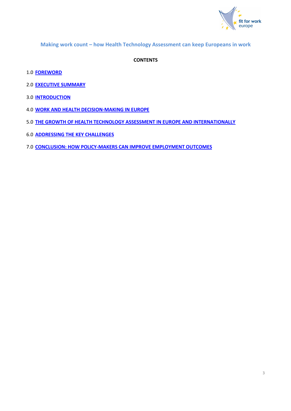

**Making work count – how Health Technology Assessment can keep Europeans in work** 

# **CONTENTS**

## 1.0 **FOREWORD**

- 2.0 **EXECUTIVE SUMMARY**
- 3.0 **INTRODUCTION**
- 4.0 **WORK AND HEALTH DECISION-MAKING IN EUROPE**
- 5.0 **THE GROWTH OF HEALTH TECHNOLOGY ASSESSMENT IN EUROPE AND INTERNATIONALLY**
- 6.0 **ADDRESSING THE KEY CHALLENGES**
- 7.0 **CONCLUSION: HOW POLICY-MAKERS CAN IMPROVE EMPLOYMENT OUTCOMES**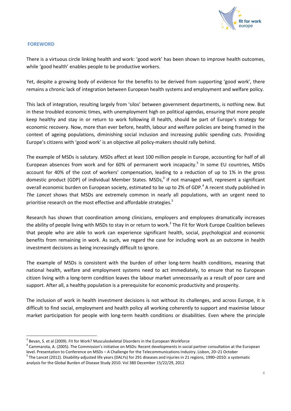

## **FOREWORD**

 $\overline{a}$ 

There is a virtuous circle linking health and work: 'good work' has been shown to improve health outcomes, while 'good health' enables people to be productive workers.

Yet, despite a growing body of evidence for the benefits to be derived from supporting 'good work', there remains a chronic lack of integration between European health systems and employment and welfare policy.

This lack of integration, resulting largely from 'silos' between government departments, is nothing new. But in these troubled economic times, with unemployment high on political agendas, ensuring that more people keep healthy and stay in or return to work following ill health, should be part of Europe's strategy for economic recovery. Now, more than ever before, health, labour and welfare policies are being framed in the context of ageing populations, diminishing social inclusion and increasing public spending cuts. Providing Europe's citizens with 'good work' is an objective all policy-makers should rally behind.

The example of MSDs is salutary. MSDs affect at least 100 million people in Europe, accounting for half of all European absences from work and for 60% of permanent work incapacity.<sup>3</sup> In some EU countries, MSDs account for 40% of the cost of workers' compensation, leading to a reduction of up to 1% in the gross domestic product (GDP) of individual Member States. MSDs,<sup>3</sup> if not managed well, represent a significant overall economic burden on European society, estimated to be up to 2% of GDP.<sup>4</sup> A recent study published in *The Lancet* shows that MSDs are extremely common in nearly all populations, with an urgent need to prioritise research on the most effective and affordable strategies.<sup>5</sup>

Research has shown that coordination among clinicians, employers and employees dramatically increases the ability of people living with MSDs to stay in or return to work.<sup>3</sup> The Fit for Work Europe Coalition believes that people who are able to work can experience significant health, social, psychological and economic benefits from remaining in work. As such, we regard the case for including work as an outcome in health investment decisions as being increasingly difficult to ignore.

The example of MSDs is consistent with the burden of other long-term health conditions, meaning that national health, welfare and employment systems need to act immediately, to ensure that no European citizen living with a long-term condition leaves the labour market unnecessarily as a result of poor care and support. After all, a healthy population is a prerequisite for economic productivity and prosperity.

The inclusion of work in health investment decisions is not without its challenges, and across Europe, it is difficult to find social, employment and health policy all working coherently to support and maximise labour market participation for people with long-term health conditions or disabilities. Even where the principle

 $3$  Bevan, S. et al (2009). Fit for Work? Musculoskeletal Disorders in the European Workforce

<sup>&</sup>lt;sup>4</sup> Cammarota, A. (2005). The Commission's initiative on MSDs: Recent developments in social partner consultation at the European level. Presentation to Conference on MSDs – A Challenge for the Telecommunications Industry. Lisbon, 20–21 October

<sup>&</sup>lt;sup>5</sup> The Lancet (2012). Disability-adjusted life years (DALYs) for 291 diseases and injuries in 21 regions, 1990–2010: a systematic analysis for the Global Burden of Disease Study 2010. Vol 380 December 15/22/29, 2012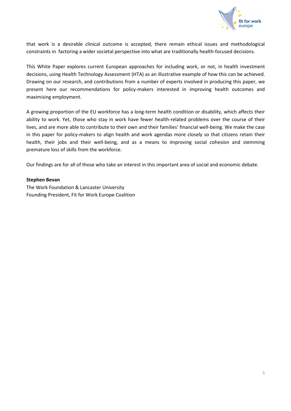

that work is a desirable clinical outcome is accepted, there remain ethical issues and methodological constraints in factoring a wider societal perspective into what are traditionally health-focused decisions.

This White Paper explores current European approaches for including work, or not, in health investment decisions, using Health Technology Assessment (HTA) as an illustrative example of how this can be achieved. Drawing on our research, and contributions from a number of experts involved in producing this paper, we present here our recommendations for policy-makers interested in improving health outcomes and maximising employment.

A growing proportion of the EU workforce has a long-term health condition or disability, which affects their ability to work. Yet, those who stay in work have fewer health-related problems over the course of their lives, and are more able to contribute to their own and their families' financial well-being. We make the case in this paper for policy-makers to align health and work agendas more closely so that citizens retain their health, their jobs and their well-being, and as a means to improving social cohesion and stemming premature loss of skills from the workforce.

Our findings are for all of those who take an interest in this important area of social and economic debate.

## **Stephen Bevan**

The Work Foundation & Lancaster University Founding President, Fit for Work Europe Coalition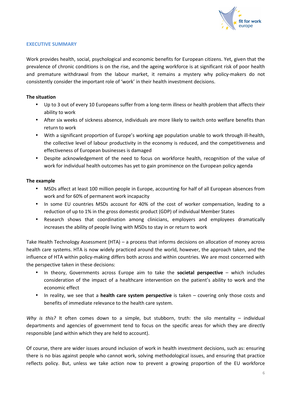

## **EXECUTIVE SUMMARY**

Work provides health, social, psychological and economic benefits for European citizens. Yet, given that the prevalence of chronic conditions is on the rise, and the ageing workforce is at significant risk of poor health and premature withdrawal from the labour market, it remains a mystery why policy-makers do not consistently consider the important role of 'work' in their health investment decisions.

## **The situation**

- Up to 3 out of every 10 Europeans suffer from a long-term illness or health problem that affects their ability to work
- After six weeks of sickness absence, individuals are more likely to switch onto welfare benefits than return to work
- With a significant proportion of Europe's working age population unable to work through ill-health, the collective level of labour productivity in the economy is reduced, and the competitiveness and effectiveness of European businesses is damaged
- Despite acknowledgement of the need to focus on workforce health, recognition of the value of work for individual health outcomes has yet to gain prominence on the European policy agenda

#### **The example**

- MSDs affect at least 100 million people in Europe, accounting for half of all European absences from work and for 60% of permanent work incapacity
- In some EU countries MSDs account for 40% of the cost of worker compensation, leading to a reduction of up to 1% in the gross domestic product (GDP) of individual Member States
- Research shows that coordination among clinicians, employers and employees dramatically increases the ability of people living with MSDs to stay in or return to work

Take Health Technology Assessment (HTA) – a process that informs decisions on allocation of money across health care systems. HTA is now widely practiced around the world, however, the approach taken, and the influence of HTA within policy-making differs both across and within countries. We are most concerned with the perspective taken in these decisions:

- In theory, Governments across Europe aim to take the **societal perspective** which includes consideration of the impact of a healthcare intervention on the patient's ability to work and the economic effect
- In reality, we see that a **health care system perspective** is taken covering only those costs and benefits of immediate relevance to the health care system.

*Why is this?* It often comes down to a simple, but stubborn, truth: the silo mentality – individual departments and agencies of government tend to focus on the specific areas for which they are directly responsible (and within which they are held to account).

Of course, there are wider issues around inclusion of work in health investment decisions, such as: ensuring there is no bias against people who cannot work, solving methodological issues, and ensuring that practice reflects policy. But, unless we take action now to prevent a growing proportion of the EU workforce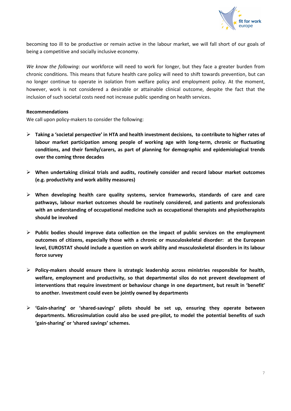

becoming too ill to be productive or remain active in the labour market, we will fall short of our goals of being a competitive and socially inclusive economy.

*We know the following*: our workforce will need to work for longer, but they face a greater burden from chronic conditions. This means that future health care policy will need to shift towards prevention, but can no longer continue to operate in isolation from welfare policy and employment policy. At the moment, however, work is not considered a desirable or attainable clinical outcome, despite the fact that the inclusion of such societal costs need not increase public spending on health services.

## **Recommendations**

We call upon policy-makers to consider the following:

- **Taking a 'societal perspective' in HTA and health investment decisions, to contribute to higher rates of labour market participation among people of working age with long-term, chronic or fluctuating conditions, and their family/carers, as part of planning for demographic and epidemiological trends over the coming three decades**
- **When undertaking clinical trials and audits, routinely consider and record labour market outcomes (e.g. productivity and work ability measures)**
- **When developing health care quality systems, service frameworks, standards of care and care pathways, labour market outcomes should be routinely considered, and patients and professionals with an understanding of occupational medicine such as occupational therapists and physiotherapists should be involved**
- **Public bodies should improve data collection on the impact of public services on the employment outcomes of citizens, especially those with a chronic or musculoskeletal disorder: at the European level, EUROSTAT should include a question on work ability and musculoskeletal disorders in its labour force survey**
- **Policy-makers should ensure there is strategic leadership across ministries responsible for health, welfare, employment and productivity, so that departmental silos do not prevent development of interventions that require investment or behaviour change in one department, but result in 'benefit' to another. Investment could even be jointly owned by departments**
- **'Gain-sharing' or 'shared-savings' pilots should be set up, ensuring they operate between departments. Microsimulation could also be used pre-pilot, to model the potential benefits of such 'gain-sharing' or 'shared savings' schemes.**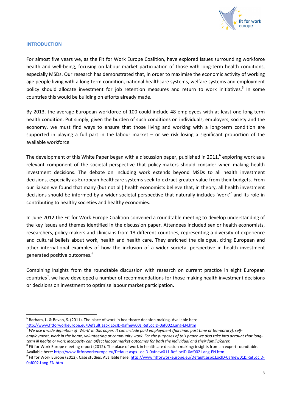

## **INTRODUCTION**

 $\overline{a}$ 

For almost five years we, as the Fit for Work Europe Coalition, have explored issues surrounding workforce health and well-being, focusing on labour market participation of those with long-term health conditions, especially MSDs. Our research has demonstrated that, in order to maximise the economic activity of working age people living with a long-term condition, national healthcare systems, welfare systems and employment policy should allocate investment for job retention measures and return to work initiatives.<sup>3</sup> In some countries this would be building on efforts already made.

By 2013, the average European workforce of 100 could include 48 employees with at least one long-term health condition. Put simply, given the burden of such conditions on individuals, employers, society and the economy, we must find ways to ensure that those living and working with a long-term condition are supported in playing a full part in the labour market – or we risk losing a significant proportion of the available workforce.

The development of this White Paper began with a discussion paper, published in 2011,<sup>6</sup> exploring work as a relevant component of the societal perspective that policy-makers should consider when making health investment decisions. The debate on including work extends beyond MSDs to all health investment decisions, especially as European healthcare systems seek to extract greater value from their budgets. From our liaison we found that many (but not all) health economists believe that, in theory, all health investment decisions should be informed by a wider societal perspective that naturally includes 'work'<sup>7</sup> and its role in contributing to healthy societies and healthy economies.

In June 2012 the Fit for Work Europe Coalition convened a roundtable meeting to develop understanding of the key issues and themes identified in the discussion paper. Attendees included senior health economists, researchers, policy-makers and clinicians from 13 different countries, representing a diversity of experience and cultural beliefs about work, health and health care. They enriched the dialogue, citing European and other international examples of how the inclusion of a wider societal perspective in health investment generated positive outcomes.<sup>8</sup>

Combining insights from the roundtable discussion with research on current practice in eight European countries<sup>9</sup>, we have developed a number of recommendations for those making health investment decisions or decisions on investment to optimise labour market participation.

 $^6$  Barham, L. & Bevan, S. (2011). The place of work in healthcare decision making. Available here:

http://www.fitforworkeurope.eu/Default.aspx.LocID-0afnew00z.RefLocID-0af002.Lang-EN.htm

<sup>&</sup>lt;sup>7</sup> We use a wide definition of 'Work' in this paper. It can include paid employment (full time, part time or temporary), self*employment, work in the home, volunteering or community work. For the purposes of this paper we also take into account that longterm ill health or work incapacity can affect labour market outcomes for both the individual and their family/carer.*

 $^8$  Fit for Work Europe meeting report (2012). The place of work in healthcare decision making: insights from an expert roundtable. Available here: http://www.fitforworkeurope.eu/Default.aspx.LocID-0afnew011.RefLocID-0af002.Lang-EN.htm

<sup>&</sup>lt;sup>9</sup> Fit for Work Europe (2012). Case studies. Available here: http://www.fitforworkeurope.eu/Default.aspx.LocID-0afnew01b.RefLocID-0af002.Lang-EN.htm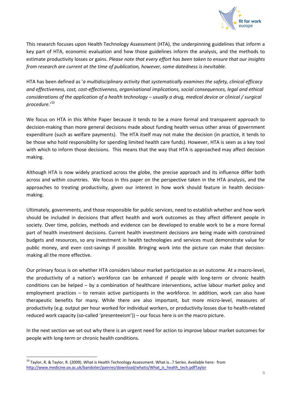

This research focuses upon Health Technology Assessment (HTA), the underpinning guidelines that inform a key part of HTA, economic evaluation and how those guidelines inform the analysis, and the methods to estimate productivity losses or gains. *Please note that every effort has been taken to ensure that our insights from research are current at the time of publication, however, some datedness is inevitable*.

HTA has been defined as '*a multidisciplinary activity that systematically examines the safety, clinical efficacy and effectiveness, cost, cost-effectiveness, organisational implications, social consequences, legal and ethical considerations of the application of a health technology – usually a drug, medical device or clinical / surgical procedure*.'<sup>10</sup>

We focus on HTA in this White Paper because it tends to be a more formal and transparent approach to decision-making than more general decisions made about funding health versus other areas of government expenditure (such as welfare payments). The HTA itself may not make the decision (in practice, it tends to be those who hold responsibility for spending limited health care funds). However, HTA is seen as a key tool with which to inform those decisions. This means that the way that HTA is approached may affect decision making.

Although HTA is now widely practiced across the globe, the precise approach and its influence differ both across and within countries. We focus in this paper on the perspective taken in the HTA analysis, and the approaches to treating productivity, given our interest in how work should feature in health decisionmaking.

Ultimately, governments, and those responsible for public services, need to establish whether and how work should be included in decisions that affect health and work outcomes as they affect different people in society. Over time, policies, methods and evidence can be developed to enable work to be a more formal part of health investment decisions. Current health investment decisions are being made with constrained budgets and resources, so any investment in health technologies and services must demonstrate value for public money, and even cost-savings if possible. Bringing work into the picture can make that decisionmaking all the more effective.

Our primary focus is on whether HTA considers labour market participation as an outcome. At a macro-level, the productivity of a nation's workforce can be enhanced if people with long-term or chronic health conditions can be helped – by a combination of healthcare interventions, active labour market policy and employment practices – to remain active participants in the workforce. In addition, work can also have therapeutic benefits for many. While there are also important, but more micro-level, measures of productivity (e.g. output per hour worked for individual workers, or productivity losses due to health-related reduced work capacity (so-called 'presenteeism')) – our focus here is on the macro picture.

In the next section we set out why there is an urgent need for action to improve labour market outcomes for people with long-term or chronic health conditions.

<sup>&</sup>lt;sup>10</sup> Taylor, R. & Taylor, R. (2009). What is Health Technology Assessment. What is...? Series. Available here: from http://www.medicine.ox.ac.uk/bandolier/painres/download/whatis/What\_is\_health\_tech.pdfTaylor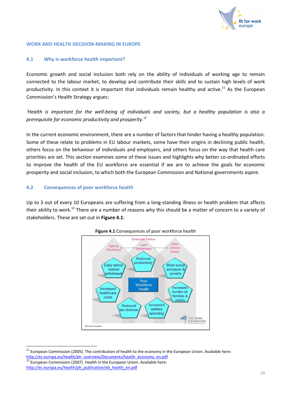

## **WORK AND HEALTH DECISION-MAKING IN EUROPE**

## **4.1 Why is workforce health important?**

Economic growth and social inclusion both rely on the ability of individuals of working age to remain connected to the labour market, to develop and contribute their skills and to sustain high levels of work productivity. In this context it is important that individuals remain healthy and active.<sup>11</sup> As the European Commission's Health Strategy argues:

*'Health is important for the well-being of individuals and society, but a healthy population is also a prerequisite for economic productivity and prosperity.'<sup>2</sup>*

In the current economic environment, there are a number of factors that hinder having a healthy population. Some of these relate to problems in EU labour markets, some have their origins in declining public health, others focus on the behaviour of individuals and employers, and others focus on the way that health care priorities are set. This section examines some of these issues and highlights why better co-ordinated efforts to improve the health of the EU workforce are essential if we are to achieve the goals for economic prosperity and social inclusion, to which both the European Commission and National governments aspire.

## **4.2 Consequences of poor workforce health**

Up to 3 out of every 10 Europeans are suffering from a long-standing illness or health problem that affects their ability to work.<sup>12</sup> There are a number of reasons why this should be a matter of concern to a variety of stakeholders. These are set out in **Figure 4.1**:





 $\overline{a}$ 

 $11$  European Commission (2005). The contribution of health to the economy in the European Union. Available here: http://ec.europa.eu/health/ph\_overview/Documents/health\_economy\_en.pdf

<sup>&</sup>lt;sup>12</sup> European Commission (2007). Health in the European Union. Available here: http://ec.europa.eu/health/ph\_publication/eb\_health\_en.pdf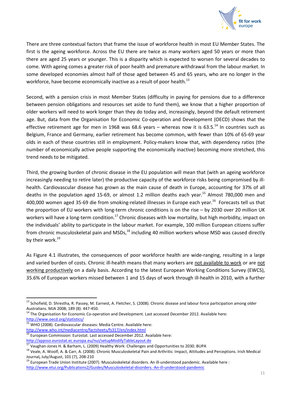

There are three contextual factors that frame the issue of workforce health in most EU Member States. The first is the ageing workforce. Across the EU there are twice as many workers aged 50 years or more than there are aged 25 years or younger. This is a disparity which is expected to worsen for several decades to come. With ageing comes a greater risk of poor health and premature withdrawal from the labour market. In some developed economies almost half of those aged between 45 and 65 years, who are no longer in the workforce, have become economically inactive as a result of poor health.<sup>13</sup>

Second, with a pension crisis in most Member States (difficulty in paying for pensions due to a difference between pension obligations and resources set aside to fund them), we know that a higher proportion of older workers will need to work longer than they do today and, increasingly, beyond the default retirement age. But, data from the Organisation for Economic Co-operation and Development (OECD) shows that the effective retirement age for men in 1968 was 68.6 years – whereas now it is 63.5.<sup>14</sup> In countries such as Belgium, France and Germany, earlier retirement has become common, with fewer than 10% of 65-69 year olds in each of these countries still in employment. Policy-makers know that, with dependency ratios (the number of economically active people supporting the economically inactive) becoming more stretched, this trend needs to be mitigated.

Third, the growing burden of chronic disease in the EU population will mean that (with an ageing workforce increasingly needing to retire later) the productive capacity of the workforce risks being compromised by illhealth. Cardiovascular disease has grown as the main cause of death in Europe, accounting for 37% of all deaths in the population aged 15-69, or almost 1.2 million deaths each year.<sup>15</sup> Almost 780,000 men and 400,000 women aged 35-69 die from smoking-related illnesses in Europe each year.<sup>16</sup> Forecasts tell us that the proportion of EU workers with long-term chronic conditions is on the rise – by 2030 over 20 million UK workers will have a long-term condition.<sup>17</sup> Chronic diseases with low mortality, but high morbidity, impact on the individuals' ability to participate in the labour market. For example, 100 million European citizens suffer from chronic musculoskeletal pain and MSDs,<sup>18</sup> including 40 million workers whose MSD was caused directly by their work.<sup>19</sup>

As Figure 4.1 illustrates, the consequences of poor workforce health are wide-ranging, resulting in a large and varied burden of costs. Chronic ill-health means that many workers are not available to work or are not working productively on a daily basis. According to the latest European Working Conditions Survey (EWCS), 35.6% of European workers missed between 1 and 15 days of work through ill-health in 2010, with a further

<sup>15</sup> WHO (2008). Cardiovascular diseases: Media Centre. Available here: http://www.who.int/mediacentre/factsheets/fs317/en/index.html

 $\overline{\phantom{0}}$ 

<sup>16</sup> European Commission: Eurostat. Last accessed December 2012. Available here:

<sup>&</sup>lt;sup>13</sup> Schofield, D. Shrestha, R. Passey, M. Earnest, A. Fletcher, S. (2008). Chronic disease and labour force participation among older Australians. MJA 2008; 189 (8): 447-450.

<sup>&</sup>lt;sup>14</sup> The Organisation for Economic Co-operation and Development. Last accessed December 2012. Available here: http://www.oecd.org/statistics/

http://appsso.eurostat.ec.europa.eu/nui/setupModifyTableLayout.do

<sup>17</sup> Vaughan-Jones H. & Barham, L. (2009) Healthy Work: Challenges and Opportunities to 2030. BUPA

<sup>&</sup>lt;sup>18</sup> Veale, A. Woolf, A. & Carr, A. (2008). Chronic Musculoskeletal Pain and Arthritis: Impact, Attitudes and Perceptions. Irish Medical Journal**,** July/August, 101 (7), 208-210

<sup>&</sup>lt;sup>19</sup> European Trade Union Institute (2007). Musculoskeletal disorders. An ill-understood pandemic. Available here : http://www.etui.org/Publications2/Guides/Musculoskeletal-disorders.-An-ill-understood-pandemic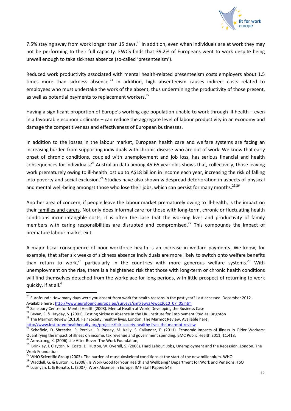

7.5% staying away from work longer than 15 days.<sup>20</sup> In addition, even when individuals are at work they may not be performing to their full capacity. EWCS finds that 39.2% of Europeans went to work despite being unwell enough to take sickness absence (so-called 'presenteeism').

Reduced work productivity associated with mental health-related presenteeism costs employers about 1.5 times more than sickness absence.<sup>21</sup> In addition, high absenteeism causes indirect costs related to employees who must undertake the work of the absent, thus undermining the productivity of those present, as well as potential payments to replacement workers.<sup>22</sup>

Having a significant proportion of Europe's working age population unable to work through ill-health – even in a favourable economic climate – can reduce the aggregate level of labour productivity in an economy and damage the competitiveness and effectiveness of European businesses.

In addition to the losses in the labour market, European health care and welfare systems are facing an increasing burden from supporting individuals with chronic disease who are out of work. We know that early onset of chronic conditions, coupled with unemployment and job loss, has serious financial and health consequences for individuals.<sup>23</sup> Australian data among 45-65 year olds shows that, collectively, those leaving work prematurely owing to ill-health lost up to A\$18 billion in income each year, increasing the risk of falling into poverty and social exclusion.<sup>24</sup> Studies have also shown widespread deterioration in aspects of physical and mental well-being amongst those who lose their jobs, which can persist for many months.<sup>25,26</sup>

Another area of concern, if people leave the labour market prematurely owing to ill-health, is the impact on their families and carers. Not only does informal care for those with long-term, chronic or fluctuating health conditions incur intangible costs, it is often the case that the working lives and productivity of family members with caring responsibilities are disrupted and compromised.<sup>27</sup> This compounds the impact of premature labour market exit.

A major fiscal consequence of poor workforce health is an increase in welfare payments. We know, for example, that after six weeks of sickness absence individuals are more likely to switch onto welfare benefits than return to work,<sup>28</sup> particularly in the countries with more generous welfare systems.<sup>29</sup> With unemployment on the rise, there is a heightened risk that those with long-term or chronic health conditions will find themselves detached from the workplace for long periods, with little prospect of returning to work quickly, if at all.<sup>6</sup>

 $\overline{a}$ 

 $^{20}$  Eurofound : How many days were you absent from work for health reasons in the past year? Last accessed December 2012. Available here : http://www.eurofound.europa.eu/surveys/smt/ewcs/ewcs2010\_07\_05.htm

<sup>&</sup>lt;sup>21</sup> Sainsbury Centre for Mental Health (2008). Mental Health at Work: Developing the Business Case

<sup>&</sup>lt;sup>22</sup> Bevan, S. & Hayday, S. (2001). Costing Sickness Absence in the UK. Institute for Employment Studies, Brighton <sup>23</sup> The Marmot Review (2010). Fair society, healthy lives. London: The Marmot Review. Available here:

http://www.instituteofhealthequity.org/projects/fair-society-healthy-lives-the-marmot-review

<sup>&</sup>lt;sup>24</sup> Schofield, D. Shrestha, R. Percival, R. Passey, M. Kelly, S. Callander, E. (2011). Economic Impacts of Illness in Older Workers: Quantifying the impact of illness on income, tax revenue and government spending. BMC Public Health 2011, 11:418.

 $^{25}$  Armstrong, K. (2006) Life After Rover. The Work Foundation,

<sup>&</sup>lt;sup>26</sup> Brinkley, I. Clayton, N. Coats, D. Hutton, W. Overell, S. (2008). Hard Labour: Jobs, Unemployment and the Recession, London. The Work Foundation

<sup>27</sup> WHO Scientific Group (2003). The burden of musculoskeletal conditions at the start of the new millennium*.* WHO

<sup>&</sup>lt;sup>28</sup> Waddell, G. & Burton, K. (2006). Is Work Good for Your Health and Wellbeing? Department for Work and Pensions: TSO

<sup>29</sup> Lusinyan, L. & Bonato, L. (2007). Work Absence in Europe. IMF Staff Papers 543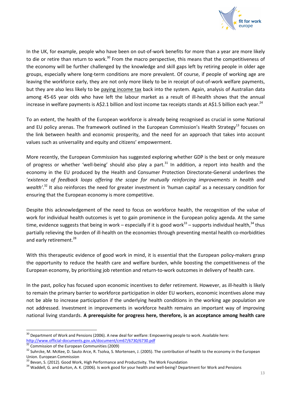

In the UK, for example, people who have been on out-of-work benefits for more than a year are more likely to die or retire than return to work.<sup>30</sup> From the macro perspective, this means that the competitiveness of the economy will be further challenged by the knowledge and skill gaps left by retiring people in older age groups, especially where long-term conditions are more prevalent. Of course, if people of working age are leaving the workforce early, they are not only more likely to be in receipt of out-of-work welfare payments, but they are also less likely to be paying income tax back into the system. Again, analysis of Australian data among 45-65 year olds who have left the labour market as a result of ill-health shows that the annual increase in welfare payments is A\$2.1 billion and lost income tax receipts stands at A\$1.5 billion each year.<sup>24</sup>

To an extent, the health of the European workforce is already being recognised as crucial in some National and EU policy arenas. The framework outlined in the European Commission's Health Strategy<sup>13</sup> focuses on the link between health and economic prosperity, and the need for an approach that takes into account values such as universality and equity and citizens' empowerment.

More recently, the European Commission has suggested exploring whether GDP is the best or only measure of progress or whether 'well-being' should also play a part. $31$  In addition, a report into health and the economy in the EU produced by the Health and Consumer Protection Directorate-General underlines the '*existence of feedback loops offering the scope for mutually reinforcing improvements in health and wealth'*. <sup>32</sup> It also reinforces the need for greater investment in 'human capital' as a necessary condition for ensuring that the European economy is more competitive.

Despite this acknowledgement of the need to focus on workforce health, the recognition of the value of work for individual health outcomes is yet to gain prominence in the European policy agenda. At the same time, evidence suggests that being in work – especially if it is good work<sup>33</sup> – supports individual health,<sup>34</sup> thus partially relieving the burden of ill-health on the economies through preventing mental health co-morbidities and early retirement.<sup>28</sup>

With this therapeutic evidence of good work in mind, it is essential that the European policy-makers grasp the opportunity to reduce the health care and welfare burden, while boosting the competitiveness of the European economy, by prioritising job retention and return-to-work outcomes in delivery of health care.

In the past, policy has focused upon economic incentives to defer retirement. However, as ill-health is likely to remain the primary barrier to workforce participation in older EU workers, economic incentives alone may not be able to increase participation if the underlying health conditions in the working age population are not addressed. Investment in improvements in workforce health remains an important way of improving national living standards. **A prerequisite for progress here, therefore, is an acceptance among health care** 

 $\overline{a}$ 

<sup>&</sup>lt;sup>30</sup> Department of Work and Pensions (2006). A new deal for welfare: Empowering people to work. Available here: http://www.official-documents.gov.uk/document/cm67/6730/6730.pdf

<sup>31</sup> Commission of the European Communities (2009)

<sup>&</sup>lt;sup>32</sup> Suhrcke, M. McKee, D. Sauto Arce, R. Tsolva, S. Mortensen, J. (2005). The contribution of health to the economy in the European Union. European Commission

<sup>&</sup>lt;sup>33</sup> Bevan, S. (2012). Good Work, High Performance and Productivity. The Work Foundation

<sup>&</sup>lt;sup>34</sup> Waddell, G. and Burton, A. K. (2006). Is work good for your health and well-being? Department for Work and Pensions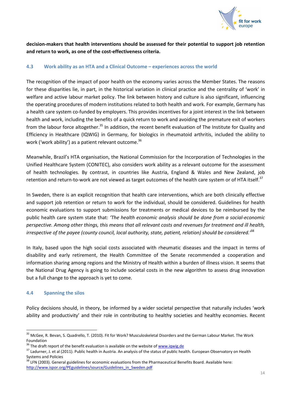

**decision-makers that health interventions should be assessed for their potential to support job retention and return to work, as one of the cost-effectiveness criteria.**

# **4.3 Work ability as an HTA and a Clinical Outcome – experiences across the world**

The recognition of the impact of poor health on the economy varies across the Member States. The reasons for these disparities lie, in part, in the historical variation in clinical practice and the centrality of 'work' in welfare and active labour market policy. The link between history and culture is also significant, influencing the operating procedures of modern institutions related to both health and work. For example, Germany has a health care system co-funded by employers. This provides incentives for a joint interest in the link between health and work, including the benefits of a quick return to work and avoiding the premature exit of workers from the labour force altogether.<sup>35</sup> In addition, the recent benefit evaluation of The Institute for Quality and Efficiency in Healthcare (IQWIG) in Germany, for biologics in rheumatoid arthritis, included the ability to work ('work ability') as a patient relevant outcome. $^{36}$ 

Meanwhile, Brazil's HTA organisation, the National Commission for the Incorporation of Technologies in the Unified Healthcare System (CONITEC), also considers work ability as a relevant outcome for the assessment of health technologies. By contrast, in countries like Austria, England & Wales and New Zealand, job retention and return-to-work are not viewed as target outcomes of the health care system or of HTA itself.<sup>37</sup>

In Sweden, there is an explicit recognition that health care interventions, which are both clinically effective and support job retention or return to work for the individual, should be considered. Guidelines for health economic evaluations to support submissions for treatments or medical devices to be reimbursed by the public health care system state that: *'The health economic analysis should be done from a social-economic perspective. Among other things, this means that all relevant costs and revenues for treatment and ill health, irrespective of the payee (county council, local authority, state, patient, relation) should be considered.'*<sup>38</sup>

In Italy, based upon the high social costs associated with rheumatic diseases and the impact in terms of disability and early retirement, the Health Committee of the Senate recommended a cooperation and information sharing among regions and the Ministry of Health within a burden of illness vision. It seems that the National Drug Agency is going to include societal costs in the new algorithm to assess drug innovation but a full change to the approach is yet to come.

## **4.4 Spanning the silos**

 $\overline{a}$ 

Policy decisions should, in theory, be informed by a wider societal perspective that naturally includes 'work ability and productivity' and their role in contributing to healthy societies and healthy economies. Recent

<sup>&</sup>lt;sup>35</sup> McGee, R. Bevan, S. Quadrello, T. (2010). Fit for Work? Musculoskeletal Disorders and the German Labour Market. The Work Foundation

<sup>&</sup>lt;sup>36</sup> The draft report of the benefit evaluation is available on the website of www.iqwig.de

<sup>&</sup>lt;sup>37</sup> Ladurner, J. et al (2011). Public health in Austria. An analysis of the status of public health. European Observatory on Health Systems and Policies

<sup>&</sup>lt;sup>38</sup> LFN (2003). General guidelines for economic evaluations from the Pharmaceutical Benefits Board. Available here: http://www.ispor.org/PEguidelines/source/Guidelines\_in\_Sweden.pdf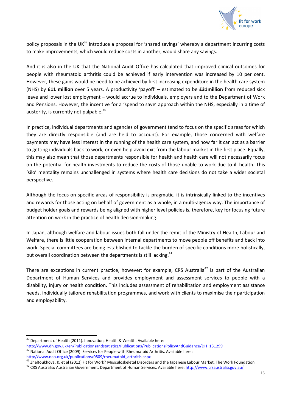

policy proposals in the UK<sup>39</sup> introduce a proposal for 'shared savings' whereby a department incurring costs to make improvements, which would reduce costs in another, would share any savings.

And it is also in the UK that the National Audit Office has calculated that improved clinical outcomes for people with rheumatoid arthritis could be achieved if early intervention was increased by 10 per cent. However, these gains would be need to be achieved by first increasing expenditure in the health care system (NHS) by **£11 million** over 5 years. A productivity 'payoff' – estimated to be **£31million** from reduced sick leave and lower lost employment – would accrue to individuals, employers and to the Department of Work and Pensions. However, the incentive for a 'spend to save' approach within the NHS, especially in a time of austerity, is currently not palpable.<sup>40</sup>

In practice, individual departments and agencies of government tend to focus on the specific areas for which they are directly responsible (and are held to account). For example, those concerned with welfare payments may have less interest in the running of the health care system, and how far it can act as a barrier to getting individuals back to work, or even help avoid exit from the labour market in the first place. Equally, this may also mean that those departments responsible for health and health care will not necessarily focus on the potential for health investments to reduce the costs of those unable to work due to ill-health. This 'silo' mentality remains unchallenged in systems where health care decisions do not take a wider societal perspective.

Although the focus on specific areas of responsibility is pragmatic, it is intrinsically linked to the incentives and rewards for those acting on behalf of government as a whole, in a multi-agency way. The importance of budget holder goals and rewards being aligned with higher level policies is, therefore, key for focusing future attention on work in the practice of health decision-making.

In Japan, although welfare and labour issues both fall under the remit of the Ministry of Health, Labour and Welfare, there is little cooperation between internal departments to move people off benefits and back into work. Special committees are being established to tackle the burden of specific conditions more holistically, but overall coordination between the departments is still lacking.<sup>41</sup>

There are exceptions in current practice, however: for example, CRS Australia<sup>42</sup> is part of the Australian Department of Human Services and provides employment and assessment services to people with a disability, injury or health condition. This includes assessment of rehabilitation and employment assistance needs, individually tailored rehabilitation programmes, and work with clients to maximise their participation and employability.

<sup>&</sup>lt;sup>39</sup> Department of Health (2011). Innovation, Health & Wealth. Available here: http://www.dh.gov.uk/en/Publicationsandstatistics/Publications/PublicationsPolicyAndGuidance/DH\_131299 National Audit Office (2009). Services for People with Rheumatoid Arthritis. Available here:

http://www.nao.org.uk/publications/0809/rheumatoid\_arthritis.aspx

<sup>&</sup>lt;sup>41</sup> Zheltoukhova, K. et al (2012) Fit for Work? Musculoskeletal Disorders and the Japanese Labour Market, The Work Foundation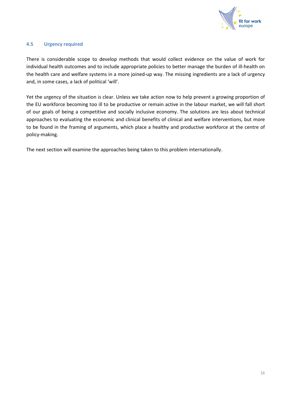

## **4.5 Urgency required**

There is considerable scope to develop methods that would collect evidence on the value of work for individual health outcomes and to include appropriate policies to better manage the burden of ill-health on the health care and welfare systems in a more joined-up way. The missing ingredients are a lack of urgency and, in some cases, a lack of political 'will'.

Yet the urgency of the situation is clear. Unless we take action now to help prevent a growing proportion of the EU workforce becoming too ill to be productive or remain active in the labour market, we will fall short of our goals of being a competitive and socially inclusive economy. The solutions are less about technical approaches to evaluating the economic and clinical benefits of clinical and welfare interventions, but more to be found in the framing of arguments, which place a healthy and productive workforce at the centre of policy-making.

The next section will examine the approaches being taken to this problem internationally.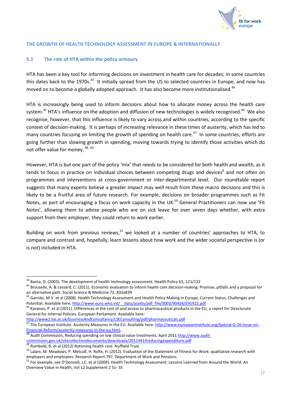

## **THE GROWTH OF HEALTH TECHNOLOGY ASSESSMENT IN EUROPE & INTERNATIONALLY**

## **5.1 The role of HTA within the policy armoury**

HTA has been a key tool for informing decisions on investment in health care for decades; in some countries this dates back to the 1970s.<sup>43</sup> It initially spread from the US to selected countries in Europe, and now has moved on to become a globally adopted approach. It has also become more institutionalised.<sup>44</sup>

HTA is increasingly being used to inform decisions about how to allocate money across the health care system.<sup>45</sup> HTA's influence on the adoption and diffusion of new technologies is widely recognised.<sup>46</sup> We also recognise, however, that this influence is likely to vary across and within countries, according to the specific context of decision-making. It is perhaps of increasing relevance in these times of austerity, which has led to many countries focusing on limiting the growth of spending on health care.<sup>47</sup> In some countries, efforts are going further than slowing growth in spending, moving towards trying to identify those activities which do not offer value for money. 48, <sup>49</sup>

However, HTA is but one part of the policy 'mix' that needs to be considered for both health and wealth, as it tends to focus in practice on individual choices between competing drugs and devices<sup>8</sup> and not often on programmes and interventions at cross-government or inter-departmental level. Our roundtable report suggests that many experts believe a greater impact may well result from these macro decisions and this is likely to be a fruitful area of future research. For example, decisions on broader programmes such as Fit Notes, as part of encouraging a focus on work capacity in the UK.<sup>50</sup> General Practitioners can now use 'Fit Notes', allowing them to advise people who are on sick leave for over seven days whether, with extra support from their employer, they could return to work earlier.

Building on work from previous reviews, $51$  we looked at a number of countries' approaches to HTA, to compare and contrast and, hopefully, learn lessons about how work and the wider societal perspective is (or is not) included in HTA.

http://www2.lse.ac.uk/businessAndConsultancy/LSEConsulting/pdf/pharmaceuticals.pdf

Audit Commission, Reducing spending on low clinical value treatments, April 2011 http://www.auditcommission.gov.uk/sitecollectiondocuments/downloads/20110414reducingexpenditure.pdf

 $\overline{a}$ 

<sup>&</sup>lt;sup>43</sup> Banta, D. (2003). The development of health technology assessment. Health Policy 63, 121/132

<sup>44</sup> Brouselle, A. & Lessard, C. (2011). Economic evaluation to inform health care decision-making: Promise, pitfalls and a proposal for an alternative path. Social Science & Medicine 72, 832e839

<sup>&</sup>lt;sup>45</sup> Garrido, M.V. et al (2008). Health Technology Assessment and Health Policy Making in Europe, Current Status, Challenges and Potential. Available here: http://www.euro.who.int/ data/assets/pdf\_file/0003/90426/E91922.pdf

<sup>&</sup>lt;sup>46</sup> Kavanos, P. et al (2011). Differences in the cost of and access to pharmaceutical products in the EU, a report for Directorate General for Internal Policies. European Parliament. Available here:

<sup>47</sup> The European Institute. Austerity Measures in the EU. Available here: http://www.europeaninstitute.org/Special-G-20-Issue-on-Financial-Reform/austerity-measures-in-the-eu.html,

Rumbold, B. et al (2012) Rationing health care. Nuffield Trust

<sup>50</sup> Lalani, M. Meadows, P. Metcalf, H. Rolfe, H. (2012). Evaluation of the Statement of Fitness for Work: qualitative research with employers and employees. Research Report 797, Department of Work and Pensions

<sup>&</sup>lt;sup>51</sup> For example, see O'Donnell, J.C. et al (2009). Health Technology Assessment: Lessons Learned from Around the World. An Overview Value in Health, Vol 12 Supplement 2 S1- S5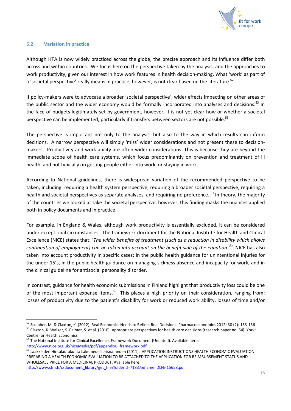

## **5.2 Variation in practice**

Although HTA is now widely practiced across the globe, the precise approach and its influence differ both across and within countries. We focus here on the perspective taken by the analysis, and the approaches to work productivity, given our interest in how work features in health decision-making. What 'work' as part of a 'societal perspective' really means in practice, however, is not clear based on the literature.<sup>52</sup>

If policy-makers were to advocate a broader 'societal perspective', wider effects impacting on other areas of the public sector and the wider economy would be formally incorporated into analyses and decisions.<sup>53</sup> In the face of budgets legitimately set by government, however, it is not yet clear how or whether a societal perspective can be implemented, particularly if transfers between sectors are not possible.<sup>53</sup>

The perspective is important not only to the analysis, but also to the way in which results can inform decisions. A narrow perspective will simply 'miss' wider considerations and not present these to decisionmakers. Productivity and work ability are often wider considerations. This is because they are beyond the immediate scope of health care systems, which focus predominantly on prevention and treatment of ill health, and not typically on getting people either into work, or staying in work.

According to National guidelines, there is widespread variation of the recommended perspective to be taken, including: requiring a health system perspective, requiring a broader societal perspective, requiring a health and societal perspectives as separate analyses, and requiring no preference. <sup>53</sup> In theory, the majority of the countries we looked at take the societal perspective, however, this finding masks the nuances applied both in policy documents and in practice. $8$ 

For example, in England & Wales, although work productivity is essentially excluded, it can be considered under exceptional circumstances. The framework document for the National Institute for Health and Clinical Excellence (NICE) states that: '*The wider benefits of treatment (such as a reduction in disability which allows continuation of employment) can be taken into account on the benefit side of the equation.'*<sup>54</sup> NICE has also taken into account productivity in specific cases: in the public health guidance for unintentional injuries for the under 15's, in the public health guidance on managing sickness absence and incapacity for work, and in the clinical guideline for antisocial personality disorder.

In contrast, guidance for health economic submissions in Finland highlight that productivity loss could be one of the most important expense items.<sup>55</sup> This places a high priority on their consideration, ranging from: losses of productivity due to the patient's disability for work or reduced work ability, losses of time and/or

<sup>52</sup> Sculpher, M. & Claxton, K. (2012). Real Economics Needs to Reflect Real Decisions. Pharmacoeconomics 2012; 30 (2): 133-136 53 Claxton, K. Walker, S. Palmer, S. et al. (2010). Appropriate perspectives for health care decisions [research paper no. 54]. York:

Centre for Health Economics

<sup>&</sup>lt;sup>54</sup> The National Institute for Clinical Excellence. Framework Document (Undated). Available here: http://www.nice.org.uk/niceMedia/pdf/appendixB\_framework.pdf<br>55

<sup>55</sup> Laakkeiden Hintalautakunta Lakemedelsprisnamnden (2011). APPLICATION INSTRUCTIONS HEALTH ECONOMIC EVALUATION PREPARING A HEALTH ECONOMIC EVALUATION TO BE ATTACHED TO THE APPLICATION FOR REIMBURSEMENT STATUS AND WHOLESALE PRICE FOR A MEDICINAL PRODUCT. Available here: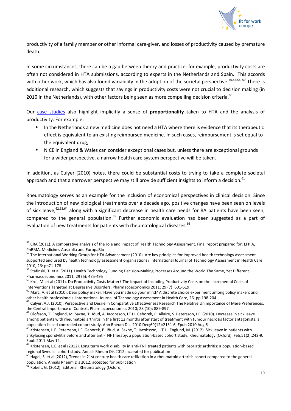

productivity of a family member or other informal care-giver, and losses of productivity caused by premature death.

In some circumstances, there can be a gap between theory and practice: for example, productivity costs are often not considered in HTA submissions, according to experts in the Netherlands and Spain. This accords with other work, which has also found variability in the adoption of the societal perspective.<sup>56,57,58, 59</sup> There is additional research, which suggests that savings in productivity costs were not crucial to decision making (in 2010 in the Netherlands), with other factors being seen as more compelling decision criteria.<sup>60</sup>

Our case studies also highlight implicitly a sense of **proportionality** taken to HTA and the analysis of productivity. For example:

- In the Netherlands a new medicine does not need a HTA where there is evidence that its therapeutic effect is equivalent to an existing reimbursed medicine. In such cases, reimbursement is set equal to the equivalent drug;
- NICE in England & Wales can consider exceptional cases but, unless there are exceptional grounds for a wider perspective, a narrow health care system perspective will be taken.

In addition, as Culyer (2010) notes, there could be substantial costs to trying to take a complete societal approach and that a narrower perspective may still provide sufficient insights to inform a decision.<sup>61</sup>

Rheumatology serves as an example for the inclusion of economical perspectives in clinical decision. Since the introduction of new biological treatments over a decade ago, positive changes have been seen on levels of sick leave,<sup>62,63,64</sup> along with a significant decrease in health care needs for RA patients have been seen, compared to the general population.<sup>65</sup> Further economic evaluation has been suggested as a part of evaluation of new treatments for patients with rheumatological diseases.<sup>66</sup>

 $\overline{a}$ 

<sup>&</sup>lt;sup>56</sup> CRA (2011). A comparative analysis of the role and impact of Health Technology Assessment. Final report prepared for: EFPIA, PhRMA, Medicines Australia and EuropaBio

<sup>&</sup>lt;sup>57</sup> The International Working Group for HTA Advancement (2010). Are key principles for improved health technology assessment supported and used by health technology assessment organisations? International Journal of Technology Assessment in Health Care 2010, 26: pp71-178

<sup>&</sup>lt;sup>58</sup> Stafinski, T. et al (2011). Health Technology Funding Decision-Making Processes Around the World The Same, Yet Different. Pharmacoeconomics 2011; 29 (6): 475-495

<sup>&</sup>lt;sup>59</sup> Krol, M. et al (2011). Do Productivity Costs Matter? The Impact of Including Productivity Costs on the Incremental Costs of Interventions Targeted at Depressive Disorders. Pharmacoeconomics 2011; 29 (7): 601-619

<sup>&</sup>lt;sup>60</sup> Marc, A. et al (2010). Dear policy maker: Have you made up your mind? A discrete choice experiment among policy makers and other health professionals. International Journal of Technology Assessment in Health Care, 26, pp 198-204

 $61$  Culyer, A.J. (2010). Perspective and Desire in Comparative Effectiveness Research The Relative Unimportance of Mere Preferences, the Central Importance of Context. Pharmacoeconomics 2010; 28 (10): 889-897

<sup>62</sup> Olofsson, T. Englund, M. Saxne, T. Jöud, A. Jacobsson, LT H. Geborek, P. Allaire, S. Petersson, I.F. (2010). Decrease in sick leave among patients with rheumatoid arthritis in the first 12 months after start of treatment with tumour necrosis factor antagonists: a population-based controlled cohort study. Ann Rheum Dis. 2010 Dec;69(12):2131-6. Epub 2010 Aug 6

<sup>63</sup> Kristensen, L.E. Petersson, I.F. Geborek, P. Jöud, A. Saxne, T. Jacobsson, L.T.H. Englund, M. (2012). Sick leave in patients with ankylosing spondylitis before and after anti-TNF therapy: a population-based cohort study. Rheumatology (Oxford). Feb;51(2):243-9. Epub 2011 May 12.

 $64$  Kristensen, L.E. et al (2012). Long term work disability in anti-TNF treated patients with psoriatic arthritis: a population-based regional Swedish cohort study. Annals Rheum Dis 2012: accepted for publication

 $<sup>65</sup>$  Hagel, S. et al (2012), Trends in 21st century health care utilization in a rheumatoid arthritis cohort compared to the general</sup> population. Annals Rheum Dis 2012: accepted for publication

Kobelt, G. (2012). Editorial. Rheumatology (Oxford)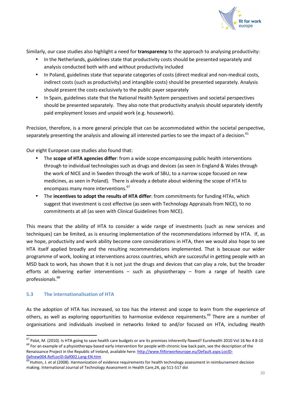

Similarly, our case studies also highlight a need for **transparency** to the approach to analysing productivity:

- In the Netherlands, guidelines state that productivity costs should be presented separately and analysis conducted both with and without productivity included
- In Poland, guidelines state that separate categories of costs (direct medical and non-medical costs, indirect costs (such as productivity) and intangible costs) should be presented separately. Analysis should present the costs exclusively to the public payer separately
- In Spain, guidelines state that the National Health System perspectives and societal perspectives should be presented separately. They also note that productivity analysis should separately identify paid employment losses and unpaid work (e.g. housework).

Precision, therefore, is a more general principle that can be accommodated within the societal perspective, separately presenting the analysis and allowing all interested parties to see the impact of a decision.<sup>61</sup>

Our eight European case studies also found that:

- The **scope of HTA agencies differ**: from a wide scope encompassing public health interventions through to individual technologies such as drugs and devices (as seen in England & Wales through the work of NICE and in Sweden through the work of SBU, to a narrow scope focused on new medicines, as seen in Poland). There is already a debate about widening the scope of HTA to encompass many more interventions.<sup>67</sup>
- The **incentives to adopt the results of HTA differ**: from commitments for funding HTAs, which suggest that investment is cost effective (as seen with Technology Appraisals from NICE), to no commitments at all (as seen with Clinical Guidelines from NICE).

This means that the ability of HTA to consider a wide range of investments (such as new services and techniques) can be limited, as is ensuring implementation of the recommendations informed by HTA. If, as we hope, productivity and work ability become core considerations in HTA, then we would also hope to see HTA itself applied broadly and the resulting recommendations implemented. That is because our wider programme of work, looking at interventions across countries, which are successful in getting people with an MSD back to work, has shown that it is not just the drugs and devices that can play a role, but the broader efforts at delivering earlier interventions – such as physiotherapy – from a range of health care professionals.<sup>68</sup>

## **5.3 The internationalisation of HTA**

l

As the adoption of HTA has increased, so too has the interest and scope to learn from the experience of others, as well as exploring opportunities to harmonise evidence requirements.<sup>69</sup> There are a number of organisations and individuals involved in networks linked to and/or focused on HTA, including Health

<sup>&</sup>lt;sup>67</sup> Palat, M. (2010). Is HTA going to save health care budgets or are its premises inherently flawed? Eurohealth 2010 Vol 16 No 4 8-10 <sup>68</sup> For an example of a physiotherapy-based early intervention for people with chronic low back pain, see the description of the Renaissance Project in the Republic of Ireland, available here: http://www.fitforworkeurope.eu/Default.aspx.LocID-0afnew004.RefLocID-0af002.Lang-EN.htm

 $\overline{69}$  Hutton, J. et al (2008). Harmonization of evidence requirements for health technology assessment in reimbursement decision making. International Journal of Technology Assessment in Health Care,24, pp 511-517 doi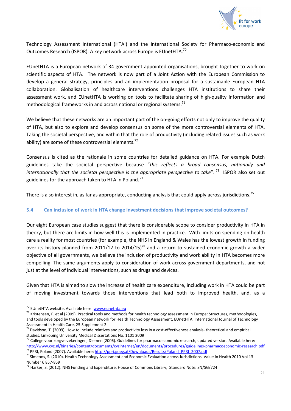

Technology Assessment International (HTAi) and the International Society for Pharmaco-economic and Outcomes Research (ISPOR). A key network across Europe is EUnetHTA.<sup>70</sup>

EUnetHTA is a European network of 34 government appointed organisations, brought together to work on scientific aspects of HTA. The network is now part of a Joint Action with the European Commission to develop a general strategy, principles and an implementation proposal for a sustainable European HTA collaboration. Globalisation of healthcare interventions challenges HTA institutions to share their assessment work, and EUnetHTA is working on tools to facilitate sharing of high-quality information and methodological frameworks in and across national or regional systems.<sup>71</sup>

We believe that these networks are an important part of the on-going efforts not only to improve the quality of HTA, but also to explore and develop consensus on some of the more controversial elements of HTA. Taking the societal perspective, and within that the role of productivity (including related issues such as work ability) are some of these controversial elements.<sup>72</sup>

Consensus is cited as the rationale in some countries for detailed guidance on HTA. For example Dutch guidelines take the societal perspective because "*this reflects a broad consensus, nationally and internationally that the societal perspective is the appropriate perspective to take"*.<sup>73</sup> ISPOR also set out guidelines for the approach taken to HTA in Poland.<sup>74</sup>

There is also interest in, as far as appropriate, conducting analysis that could apply across jurisdictions.<sup>75</sup>

## **5.4 Can inclusion of work in HTA change investment decisions that improve societal outcomes?**

Our eight European case studies suggest that there is considerable scope to consider productivity in HTA in theory, but there are limits in how well this is implemented in practice. With limits on spending on health care a reality for most countries (for example, the NHS in England & Wales has the lowest growth in funding over its history planned from 2011/12 to 2014/15)<sup>76</sup> and a return to sustained economic growth a wider objective of all governments, we believe the inclusion of productivity and work ability in HTA becomes more compelling. The same arguments apply to consideration of work across government departments, and not just at the level of individual interventions, such as drugs and devices.

Given that HTA is aimed to slow the increase of health care expenditure, including work in HTA could be part of moving investment towards those interventions that lead both to improved health, and, as a

<sup>70</sup> EUnetHTA website. Available here: www.eunethta.eu

<sup>&</sup>lt;sup>71</sup> Kristensen, F. et al (2009). Practical tools and methods for health technology assessment in Europe: Structures, methodologies, and tools developed by the European network for Health Technology Assessment, EUnetHTA. International Journal of Technology Assessment in Health Care, 25:Supplement 2

 $72$  Davidson, T. (2009). How to include relatives and productivity loss in a cost-effectiveness analysis- theoretical and empirical studies. Linköping University Medical Dissertations No. 1101 2009

<sup>&</sup>lt;sup>73</sup> College voor zorgverzekeringen, Diemen (2006). Guidelines for pharmacoeconomic research, updated version. Available here: http://www.cvz.nl/binaries/content/documents/cvzinternet/en/documents/procedures/guidelines-pharmacoeconomic-research.pdf PPRI, Poland (2007). Available here: http://ppri.goeg.at/Downloads/Results/Poland\_PPRI\_2007.pdf

<sup>&</sup>lt;sup>75</sup> Simeons, S. (2010). Health Technology Assessment and Economic Evaluation across Jurisdictions. Value in Health 2010 Vol 13 Number 6 857-859

 $<sup>6</sup>$  Harker, S. (2012). NHS Funding and Expenditure. House of Commons Library, Standard Note: SN/SG/724</sup>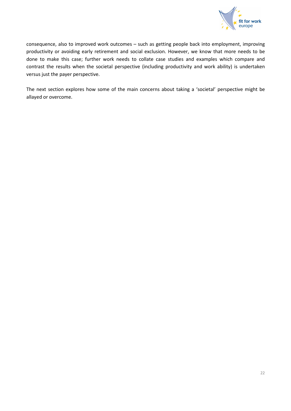

consequence, also to improved work outcomes – such as getting people back into employment, improving productivity or avoiding early retirement and social exclusion. However, we know that more needs to be done to make this case; further work needs to collate case studies and examples which compare and contrast the results when the societal perspective (including productivity and work ability) is undertaken versus just the payer perspective.

The next section explores how some of the main concerns about taking a 'societal' perspective might be allayed or overcome.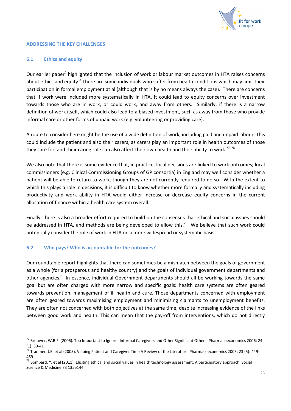

#### **ADDRESSING THE KEY CHALLENGES**

## **6.1 Ethics and equity**

Our earlier paper<sup>6</sup> highlighted that the inclusion of work or labour market outcomes in HTA raises concerns about ethics and equity.<sup>8</sup> There are some individuals who suffer from health conditions which may limit their participation in formal employment at al (although that is by no means always the case). There are concerns that if work were included more systematically in HTA, it could lead to equity concerns over investment towards those who are in work, or could work, and away from others. Similarly, if there is a narrow definition of work itself, which could also lead to a biased investment, such as away from those who provide informal care or other forms of unpaid work (e.g. volunteering or providing care).

A route to consider here might be the use of a wide definition of work, including paid and unpaid labour. This could include the patient and also their carers, as carers play an important role in health outcomes of those they care for, and their caring role can also affect their own health and their ability to work.<sup>77, 78</sup>

We also note that there is some evidence that, in practice, local decisions are linked to work outcomes; local commissioners (e.g. Clinical Commissioning Groups of GP consortia) in England may well consider whether a patient will be able to return to work, though they are not currently required to do so. With the extent to which this plays a role in decisions, it is difficult to know whether more formally and systematically including productivity and work ability in HTA would either increase or decrease equity concerns in the current allocation of finance within a health care system overall.

Finally, there is also a broader effort required to build on the consensus that ethical and social issues should be addressed in HTA, and methods are being developed to allow this.<sup>79</sup> We believe that such work could potentially consider the role of work in HTA on a more widespread or systematic basis.

## **6.2 Who pays? Who is accountable for the outcomes?**

l

Our roundtable report highlights that there can sometimes be a mismatch between the goals of government as a whole (for a prosperous and healthy country) and the goals of individual government departments and other agencies.<sup>8</sup> In essence, individual Government departments should all be working towards the same goal but are often charged with more narrow and specific goals: health care systems are often geared towards prevention, management of ill health and cure. Those departments concerned with employment are often geared towards maximising employment and minimising claimants to unemployment benefits. They are often not concerned with both objectives at the same time, despite increasing evidence of the links between good work and health. This can mean that the pay-off from interventions, which do not directly

<sup>&</sup>lt;sup>77</sup> Brouwer, W.B.F. (2006). Too Important to Ignore Informal Caregivers and Other Significant Others. Pharmacoeconomics 2006; 24 (1): 39-41

<sup>78</sup> Tranmer, J.E. et al (2005). Valuing Patient and Caregiver Time A Review of the Literature. Pharmacoeconomics 2005; 23 (5): 449- 459

<sup>&</sup>lt;sup>79</sup> Bombard, Y, et al (2011). Eliciting ethical and social values in health technology assessment: A participatory approach. Social Science & Medicine 73 135e144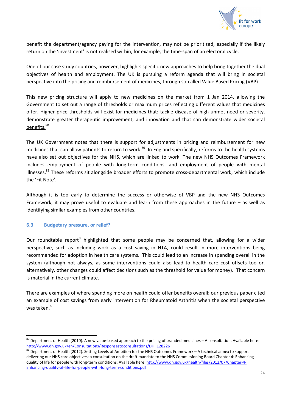

benefit the department/agency paying for the intervention, may not be prioritised, especially if the likely return on the 'investment' is not realised within, for example, the time-span of an electoral cycle.

One of our case study countries, however, highlights specific new approaches to help bring together the dual objectives of health and employment. The UK is pursuing a reform agenda that will bring in societal perspective into the pricing and reimbursement of medicines, through so-called Value Based Pricing (VBP).

This new pricing structure will apply to new medicines on the market from 1 Jan 2014, allowing the Government to set out a range of thresholds or maximum prices reflecting different values that medicines offer. Higher price thresholds will exist for medicines that: tackle disease of high unmet need or severity, demonstrate greater therapeutic improvement, and innovation and that can demonstrate wider societal benefits.<sup>80</sup>

The UK Government notes that there is support for adjustments in pricing and reimbursement for new medicines that can allow patients to return to work.<sup>80</sup> In England specifically, reforms to the health systems have also set out objectives for the NHS, which are linked to work. The new NHS Outcomes Framework includes employment of people with long-term conditions, and employment of people with mental illnesses.<sup>81</sup> These reforms sit alongside broader efforts to promote cross-departmental work, which include the 'Fit Note'.

Although it is too early to determine the success or otherwise of VBP and the new NHS Outcomes Framework, it may prove useful to evaluate and learn from these approaches in the future – as well as identifying similar examples from other countries.

## **6.3 Budgetary pressure, or relief?**

l

Our roundtable report<sup>8</sup> highlighted that some people may be concerned that, allowing for a wider perspective, such as including work as a cost saving in HTA, could result in more interventions being recommended for adoption in health care systems. This could lead to an increase in spending overall in the system (although not always, as some interventions could also lead to health care cost offsets too or, alternatively, other changes could affect decisions such as the threshold for value for money). That concern is material in the current climate.

There are examples of where spending more on health could offer benefits overall; our previous paper cited an example of cost savings from early intervention for Rheumatoid Arthritis when the societal perspective was taken.<sup>6</sup>

<sup>80</sup> Department of Health (2010). A new value-based approach to the pricing of branded medicines - A consultation. Available here: http://www.dh.gov.uk/en/Consultations/Responsestoconsultations/DH\_128226

<sup>81</sup> Department of Health (2012). Setting Levels of Ambition for the NHS Outcomes Framework – A technical annex to support delivering our NHS care objectives: a consultation on the draft mandate to the NHS Commissioning Board Chapter 4: Enhancing quality of life for people with long-term conditions. Available here: http://www.dh.gov.uk/health/files/2012/07/Chapter-4-Enhancing-quality-of-life-for-people-with-long-term-conditions.pdf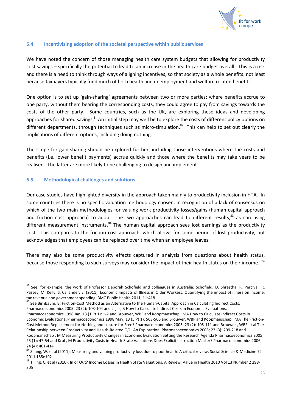

## **6.4 Incentivising adoption of the societal perspective within public services**

We have noted the concern of those managing health care system budgets that allowing for productivity cost savings – specifically the potential to lead to an increase in the health care budget overall. This is a risk and there is a need to think through ways of aligning incentives, so that society as a whole benefits: not least because taxpayers typically fund much of both health and unemployment and welfare related benefits.

One option is to set up 'gain-sharing' agreements between two or more parties; where benefits accrue to one party, without them bearing the corresponding costs, they could agree to pay from savings towards the costs of the other party. Some countries, such as the UK, are exploring these ideas and developing approaches for shared savings.<sup>8</sup> An initial step may well be to explore the costs of different policy options on different departments, through techniques such as micro-simulation.<sup>82</sup> This can help to set out clearly the implications of different options, including doing nothing.

The scope for gain-sharing should be explored further, including those interventions where the costs and benefits (i.e. lower benefit payments) accrue quickly and those where the benefits may take years to be realised. The latter are more likely to be challenging to design and implement.

## **6.5 Methodological challenges and solutions**

 $\overline{\phantom{0}}$ 

Our case studies have highlighted diversity in the approach taken mainly to productivity inclusion in HTA. In some countries there is no specific valuation methodology chosen, in recognition of a lack of consensus on which of the two main methodologies for valuing work productivity losses/gains (human capital approach and friction cost approach) to adopt. The two approaches can lead to different results, $^{83}$  as can using different measurement instruments.<sup>84</sup> The human capital approach sees lost earnings as the productivity cost. This compares to the friction cost approach, which allows for some period of lost productivity, but acknowledges that employees can be replaced over time when an employee leaves.

There may also be some productivity effects captured in analysis from questions about health status, because those responding to such surveys may consider the impact of their health status on their income. <sup>85,</sup>

<sup>82</sup> See, for example, the work of Professor Deborah Schofield and colleagues in Australia: Schofield, D. Shrestha, R. Percival, R. Passey, M. Kelly, S. Callander, E. (2011). Economic Impacts of Illness in Older Workers: Quantifying the impact of illness on income, tax revenue and government spending. BMC Public Health 2011, 11:418.

<sup>83</sup> See Birnbaum, B. Friction-Cost Method as an Alternative to the Human-Capital Approach in Calculating Indirect Costs,

Pharmacoeconomics 2005; 23 (2): 103-104 and Liljas, B How to Calculate Indirect Costs in Economic Evaluations,

Pharmacoeconomics 1998 Jan; 13 (1 Pt 1): 1-7 and Brouwer, WBF and Koopmanschap , MA How to Calculate Indirect Costs in Economic Evaluations ,Pharmacoeconomics 1998 May; 13 (5 Pt 1): 563-566 and Brouwer, WBF and Koopmanschap , MA The Friction-Cost Method Replacement for Nothing and Leisure for Free? Pharmacoeconomics 2005; 23 (2): 105-111 and Brouwer , WBF et al The Relationship between Productivity and Health-Related QOL An Exploration, Pharmacoeconomics 2005; 23 (3): 209-218 and Koopmanschap , M Measuring Productivity Changes in Economic Evaluation Setting the Research Agenda Pharmacoeconomics 2005;

<sup>23 (1): 47-54</sup> and Krol , M Productivity Costs in Health-State Valuations Does Explicit Instruction Matter? Pharmacoeconomics 2006; 24 (4): 401-414

 $84$  Zhang, W. et al (2011). Measuring and valuing productivity loss due to poor health: A critical review. Social Science & Medicine 72 2011 185e192

<sup>&</sup>lt;sup>85</sup> Tilling, C. et al (2010). In or Out? Income Losses in Health State Valuations: A Review. Value in Health 2010 Vol 13 Number 2 298-305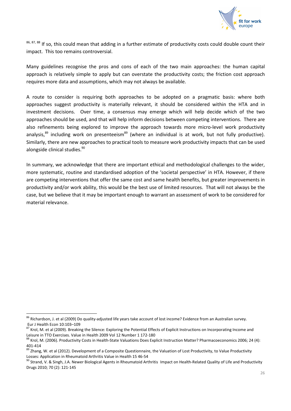

 $86, 87, 88$  If so, this could mean that adding in a further estimate of productivity costs could double count their impact. This too remains controversial.

Many guidelines recognise the pros and cons of each of the two main approaches: the human capital approach is relatively simple to apply but can overstate the productivity costs; the friction cost approach requires more data and assumptions, which may not always be available.

A route to consider is requiring both approaches to be adopted on a pragmatic basis: where both approaches suggest productivity is materially relevant, it should be considered within the HTA and in investment decisions. Over time, a consensus may emerge which will help decide which of the two approaches should be used, and that will help inform decisions between competing interventions. There are also refinements being explored to improve the approach towards more micro-level work productivity analysis, $89$  including work on presenteeism $89$  (where an individual is at work, but not fully productive). Similarly, there are new approaches to practical tools to measure work productivity impacts that can be used alongside clinical studies.<sup>90</sup>

In summary, we acknowledge that there are important ethical and methodological challenges to the wider, more systematic, routine and standardised adoption of the 'societal perspective' in HTA. However, if there are competing interventions that offer the same cost and same health benefits, but greater improvements in productivity and/or work ability, this would be the best use of limited resources. That will not always be the case, but we believe that it may be important enough to warrant an assessment of work to be considered for material relevance.

<sup>&</sup>lt;sup>86</sup> Richardson, J. et al (2009) Do quality-adjusted life years take account of lost income? Evidence from an Australian survey. Eur J Health Econ 10:103–109

<sup>87</sup> Krol, M. et al (2009). Breaking the Silence: Exploring the Potential Effects of Explicit Instructions on Incorporating Income and Leisure in TTO Exercises. Value in Health 2009 Vol 12 Number 1 172-180

<sup>88</sup> Krol, M. (2006). Productivity Costs in Health-State Valuations Does Explicit Instruction Matter? Pharmacoeconomics 2006; 24 (4): 401-414

<sup>&</sup>lt;sup>9</sup> Zhang, W. et al (2012). Development of a Composite Questionnaire, the Valuation of Lost Productivity, to Value Productivity Losses: Application in Rheumatoid Arthritis Value in Health 15 46-54

 $90$  Strand, V. & Singh, J.A. Newer Biological Agents in Rheumatoid Arthritis Impact on Health-Related Quality of Life and Productivity Drugs 2010; 70 (2): 121-145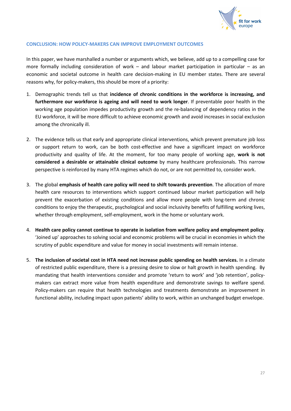

## **CONCLUSION: HOW POLICY-MAKERS CAN IMPROVE EMPLOYMENT OUTCOMES**

In this paper, we have marshalled a number or arguments which, we believe, add up to a compelling case for more formally including consideration of work – and labour market participation in particular – as an economic and societal outcome in health care decision-making in EU member states. There are several reasons why, for policy-makers, this should be more of a priority:

- 1. Demographic trends tell us that **incidence of chronic conditions in the workforce is increasing, and furthermore our workforce is ageing and will need to work longer**. If preventable poor health in the working age population impedes productivity growth and the re-balancing of dependency ratios in the EU workforce, it will be more difficult to achieve economic growth and avoid increases in social exclusion among the chronically ill.
- 2. The evidence tells us that early and appropriate clinical interventions, which prevent premature job loss or support return to work, can be both cost-effective and have a significant impact on workforce productivity and quality of life. At the moment, for too many people of working age, **work is not considered a desirable or attainable clinical outcome** by many healthcare professionals. This narrow perspective is reinforced by many HTA regimes which do not, or are not permitted to, consider work.
- 3. The global **emphasis of health care policy will need to shift towards prevention**. The allocation of more health care resources to interventions which support continued labour market participation will help prevent the exacerbation of existing conditions and allow more people with long-term and chronic conditions to enjoy the therapeutic, psychological and social inclusivity benefits of fulfilling working lives, whether through employment, self-employment, work in the home or voluntary work.
- 4. **Health care policy cannot continue to operate in isolation from welfare policy and employment policy**. 'Joined up' approaches to solving social and economic problems will be crucial in economies in which the scrutiny of public expenditure and value for money in social investments will remain intense.
- 5. **The inclusion of societal cost in HTA need not increase public spending on health services.** In a climate of restricted public expenditure, there is a pressing desire to slow or halt growth in health spending. By mandating that health interventions consider and promote 'return to work' and 'job retention', policymakers can extract more value from health expenditure and demonstrate savings to welfare spend. Policy-makers can require that health technologies and treatments demonstrate an improvement in functional ability, including impact upon patients' ability to work, within an unchanged budget envelope.